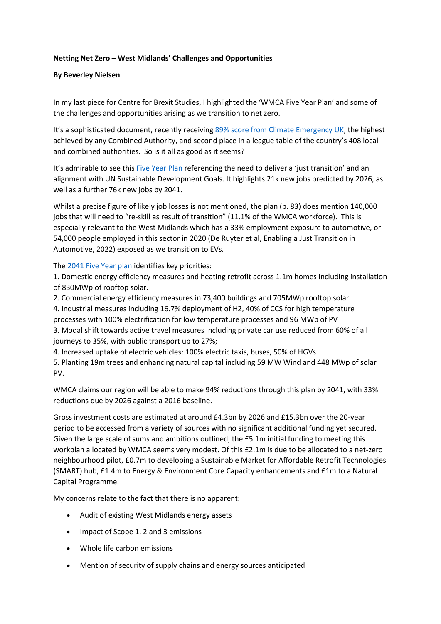## **Netting Net Zero – West Midlands' Challenges and Opportunities**

## **By Beverley Nielsen**

In my last piece for Centre for Brexit Studies, I highlighted the 'WMCA Five Year Plan' and some of the challenges and opportunities arising as we transition to net zero.

It's a sophisticated document, recently receiving [89% score from Climate Emergency UK,](https://www.wmca.org.uk/news/wmca-gains-national-recognition-for-plans-to-tackle-climate-change/) the highest achieved by any Combined Authority, and second place in a league table of the country's 408 local and combined authorities. So is it all as good as it seems?

It's admirable to see this [Five Year Plan](https://centreforbrexitstudiesblog.wordpress.com/Users/id911733/Pictures/wm-net-zero-fyp-summary-tech-report.pdf) referencing the need to deliver a 'just transition' and an alignment with UN Sustainable Development Goals. It highlights 21k new jobs predicted by 2026, as well as a further 76k new jobs by 2041.

Whilst a precise figure of likely job losses is not mentioned, the plan (p. 83) does mention 140,000 jobs that will need to "re-skill as result of transition" (11.1% of the WMCA workforce). This is especially relevant to the West Midlands which has a 33% employment exposure to automotive, or 54,000 people employed in this sector in 2020 (De Ruyter et al, Enabling a Just Transition in Automotive, 2022) exposed as we transition to EVs.

The [2041 Five Year plan](https://www.wmca.org.uk/media/4871/wm-net-zero-fyp-summary-tech-report.pdf) identifies key priorities:

1. Domestic energy efficiency measures and heating retrofit across 1.1m homes including installation of 830MWp of rooftop solar.

2. Commercial energy efficiency measures in 73,400 buildings and 705MWp rooftop solar

4. Industrial measures including 16.7% deployment of H2, 40% of CCS for high temperature processes with 100% electrification for low temperature processes and 96 MWp of PV

3. Modal shift towards active travel measures including private car use reduced from 60% of all journeys to 35%, with public transport up to 27%;

4. Increased uptake of electric vehicles: 100% electric taxis, buses, 50% of HGVs

5. Planting 19m trees and enhancing natural capital including 59 MW Wind and 448 MWp of solar PV.

WMCA claims our region will be able to make 94% reductions through this plan by 2041, with 33% reductions due by 2026 against a 2016 baseline.

Gross investment costs are estimated at around £4.3bn by 2026 and £15.3bn over the 20-year period to be accessed from a variety of sources with no significant additional funding yet secured. Given the large scale of sums and ambitions outlined, the £5.1m initial funding to meeting this workplan allocated by WMCA seems very modest. Of this £2.1m is due to be allocated to a net-zero neighbourhood pilot, £0.7m to developing a Sustainable Market for Affordable Retrofit Technologies (SMART) hub, £1.4m to Energy & Environment Core Capacity enhancements and £1m to a Natural Capital Programme.

My concerns relate to the fact that there is no apparent:

- Audit of existing West Midlands energy assets
- Impact of Scope 1, 2 and 3 emissions
- Whole life carbon emissions
- Mention of security of supply chains and energy sources anticipated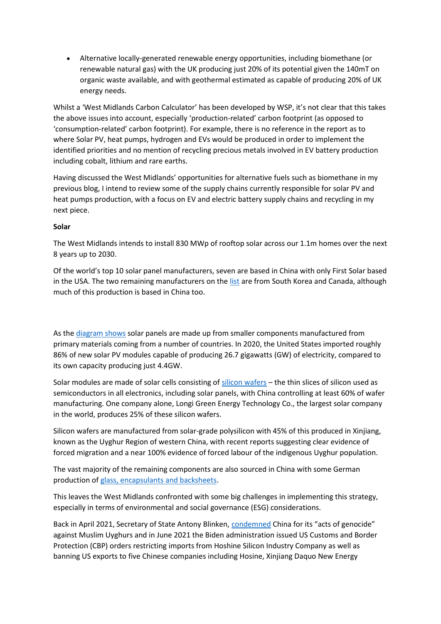• Alternative locally-generated renewable energy opportunities, including biomethane (or renewable natural gas) with the UK producing just 20% of its potential given the 140mT on organic waste available, and with geothermal estimated as capable of producing 20% of UK energy needs.

Whilst a 'West Midlands Carbon Calculator' has been developed by WSP, it's not clear that this takes the above issues into account, especially 'production-related' carbon footprint (as opposed to 'consumption-related' carbon footprint). For example, there is no reference in the report as to where Solar PV, heat pumps, hydrogen and EVs would be produced in order to implement the identified priorities and no mention of recycling precious metals involved in EV battery production including cobalt, lithium and rare earths.

Having discussed the West Midlands' opportunities for alternative fuels such as biomethane in my previous blog, I intend to review some of the supply chains currently responsible for solar PV and heat pumps production, with a focus on EV and electric battery supply chains and recycling in my next piece.

## **Solar**

The West Midlands intends to install 830 MWp of rooftop solar across our 1.1m homes over the next 8 years up to 2030.

Of the world's top 10 solar panel manufacturers, seven are based in China with only First Solar based in the USA. The two remaining manufacturers on the [list](https://news.energysage.com/best-solar-panel-manufacturers-usa/) are from South Korea and Canada, although much of this production is based in China too.

As the [diagram shows](https://www.treehugger.com/where-are-solar-panels-made-5194436) solar panels are made up from smaller components manufactured from primary materials coming from a number of countries. In 2020, the United States imported roughly 86% of new solar PV modules capable of producing 26.7 gigawatts (GW) of electricity, compared to its own capacity producing just 4.4GW.

Solar modules are made of solar cells consisting of [silicon wafers](https://waferpro.com/what-is-a-silicon-wafer/) – the thin slices of silicon used as semiconductors in all electronics, including solar panels, with China controlling at least 60% of wafer manufacturing. One company alone, Longi Green Energy Technology Co., the largest solar company in the world, produces 25% of these silicon wafers.

Silicon wafers are manufactured from solar-grade polysilicon with 45% of this produced in Xinjiang, known as the Uyghur Region of western China, with recent reports suggesting clear evidence of forced migration and a near 100% evidence of forced labour of the indigenous Uyghur population.

The vast majority of the remaining components are also sourced in China with some German production of [glass, encapsulants and backsheets.](https://southern-energy.com/where-do-our-solar-panels-come-from/)

This leaves the West Midlands confronted with some big challenges in implementing this strategy, especially in terms of environmental and social governance (ESG) considerations.

Back in April 2021, Secretary of State Antony Blinken, [condemned](https://www.forbes.com/sites/jonathanponciano/2021/04/11/biden-secretary-of-state-condemns-chinas-acts-of-genocide-against-muslim-uyghurs/?sh=3bac2cc650ca) China for its "acts of genocide" against Muslim Uyghurs and in June 2021 the Biden administration issued US Customs and Border Protection (CBP) orders restricting imports from Hoshine Silicon Industry Company as well as banning US exports to five Chinese companies including Hosine, Xinjiang Daquo New Energy